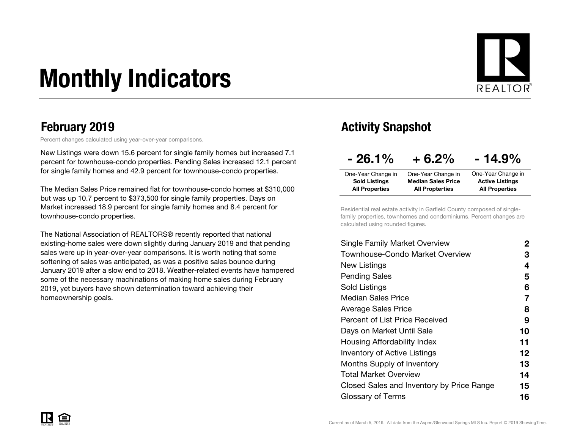# Monthly Indicators



Percent changes calculated using year-over-year comparisons.

New Listings were down 15.6 percent for single family homes but increased 7.1 percent for townhouse-condo properties. Pending Sales increased 12.1 percent for single family homes and 42.9 percent for townhouse-condo properties.

The Median Sales Price remained flat for townhouse-condo homes at \$310,000 but was up 10.7 percent to \$373,500 for single family properties. Days on Market increased 18.9 percent for single family homes and 8.4 percent for townhouse-condo properties.

The National Association of REALTORS® recently reported that national existing-home sales were down slightly during January 2019 and that pending sales were up in year-over-year comparisons. It is worth noting that some softening of sales was anticipated, as was a positive sales bounce during January 2019 after a slow end to 2018. Weather-related events have hampered some of the necessary machinations of making home sales during February 2019, yet buyers have shown determination toward achieving their homeownership goals.

#### February 2019 **Activity Snapshot Activity Snapshot**

| $-26.1%$                                      | $+6.2%$                                             | $-14.9%$                                        |
|-----------------------------------------------|-----------------------------------------------------|-------------------------------------------------|
| One-Year Change in                            | One-Year Change in                                  | One-Year Change in                              |
| <b>Sold Listings</b><br><b>All Properties</b> | <b>Median Sales Price</b><br><b>All Propterties</b> | <b>Active Listings</b><br><b>All Properties</b> |

Residential real estate activity in Garfield County composed of singlefamily properties, townhomes and condominiums. Percent changes are calculated using rounded figures.

| Single Family Market Overview             | 2                 |
|-------------------------------------------|-------------------|
| Townhouse-Condo Market Overview           | З                 |
| New Listings                              | 4                 |
| <b>Pending Sales</b>                      | 5                 |
| Sold Listings                             | 6                 |
| <b>Median Sales Price</b>                 | 7                 |
| Average Sales Price                       | 8                 |
| <b>Percent of List Price Received</b>     | 9                 |
| Days on Market Until Sale                 | 10                |
| Housing Affordability Index               | 11                |
| <b>Inventory of Active Listings</b>       | $12 \overline{ }$ |
| <b>Months Supply of Inventory</b>         | 13                |
| Total Market Overview                     | 14                |
| Closed Sales and Inventory by Price Range | 15                |
| Glossary of Terms                         | 16                |
|                                           |                   |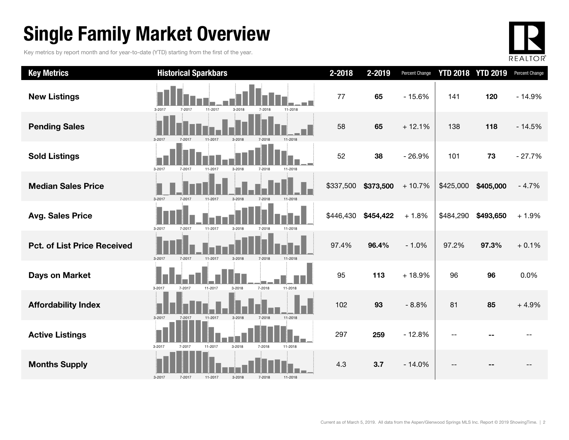### Single Family Market Overview

Key metrics by report month and for year-to-date (YTD) starting from the first of the year.



| <b>Key Metrics</b>                 | <b>Historical Sparkbars</b>                                    | 2-2018    | 2-2019    | Percent Change |           | <b>YTD 2018 YTD 2019</b> | Percent Change |
|------------------------------------|----------------------------------------------------------------|-----------|-----------|----------------|-----------|--------------------------|----------------|
| <b>New Listings</b>                | 3-2017<br>7-2017<br>11-2017<br>3-2018<br>11-2018<br>7-2018     | 77        | 65        | $-15.6%$       | 141       | 120                      | $-14.9%$       |
| <b>Pending Sales</b>               | 3-2017<br>11-2017<br>3-2018                                    | 58        | 65        | $+12.1%$       | 138       | 118                      | $-14.5%$       |
| <b>Sold Listings</b>               | 3-2017<br>7-2017<br>11-2017<br>3-2018<br>7-2018<br>11-2018     | 52        | 38        | $-26.9%$       | 101       | 73                       | $-27.7%$       |
| <b>Median Sales Price</b>          | 7-2017<br>3-2017<br>11-2017<br>$3 - 2018$<br>7-2018<br>11-2018 | \$337,500 | \$373,500 | $+10.7%$       | \$425,000 | \$405,000                | $-4.7%$        |
| <b>Avg. Sales Price</b>            | 3-2017<br>7-2017<br>11-2017<br>3-2018<br>7-2018<br>11-2018     | \$446,430 | \$454,422 | $+1.8%$        | \$484,290 | \$493,650                | $+1.9%$        |
| <b>Pct. of List Price Received</b> | 3-2017<br>7-2017<br>11-2017<br>3-2018<br>7-2018<br>11-2018     | 97.4%     | 96.4%     | $-1.0%$        | 97.2%     | 97.3%                    | $+0.1%$        |
| <b>Days on Market</b>              | 3-2017<br>7-2018<br>11-2018<br>7-2017<br>11-2017<br>3-2018     | 95        | 113       | $+18.9%$       | 96        | 96                       | 0.0%           |
| <b>Affordability Index</b>         | 11-2018<br>3-2018<br>7-2018<br>$3 - 2017$<br>7-2017<br>11-2017 | 102       | 93        | $-8.8%$        | 81        | 85                       | $+4.9%$        |
| <b>Active Listings</b>             | 3-2017<br>3-2018<br>7-2018<br>11-2017<br>11-2018<br>7-2017     | 297       | 259       | $-12.8%$       |           |                          |                |
| <b>Months Supply</b>               | $3 - 2017$<br>7-2017<br>3-2018<br>7-2018<br>11-2017<br>11-2018 | 4.3       | 3.7       | $-14.0%$       |           |                          |                |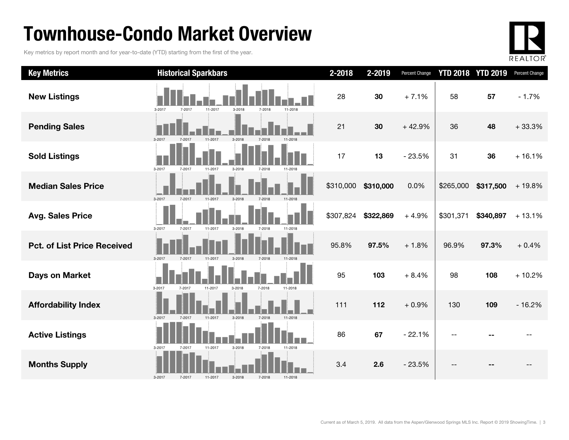### Townhouse-Condo Market Overview

Key metrics by report month and for year-to-date (YTD) starting from the first of the year.



| <b>Key Metrics</b>                 | <b>Historical Sparkbars</b>                                    | 2-2018    | 2-2019    | Percent Change |           | <b>YTD 2018 YTD 2019</b> | Percent Change |
|------------------------------------|----------------------------------------------------------------|-----------|-----------|----------------|-----------|--------------------------|----------------|
| <b>New Listings</b>                | 3-2017<br>7-2017<br>11-2017<br>$3 - 2018$<br>7-2018<br>11-2018 | 28        | 30        | $+7.1%$        | 58        | 57                       | $-1.7%$        |
| <b>Pending Sales</b>               | $3 - 2017$                                                     | 21        | 30        | $+42.9%$       | 36        | 48                       | $+33.3%$       |
| <b>Sold Listings</b>               | $3 - 2017$<br>3-2018<br>7-2017<br>11-2017<br>7-2018<br>11-2018 | 17        | 13        | $-23.5%$       | 31        | 36                       | $+16.1%$       |
| <b>Median Sales Price</b>          | 11-2017<br>3-2018<br>3-2017<br>7-2017<br>7-2018                | \$310,000 | \$310,000 | 0.0%           | \$265,000 | \$317,500                | $+19.8%$       |
| <b>Avg. Sales Price</b>            | 3-2017<br>7-2017<br>11-2017<br>3-2018<br>7-2018<br>11-2018     | \$307,824 | \$322,869 | $+4.9%$        | \$301,371 | \$340,897                | $+13.1%$       |
| <b>Pct. of List Price Received</b> | $3 - 2017$<br>3-2018<br>11-2017<br>7-2018                      | 95.8%     | 97.5%     | $+1.8%$        | 96.9%     | 97.3%                    | $+0.4%$        |
| Days on Market                     | 3-2017<br>7-2017<br>3-2018<br>7-2018<br>11-2018<br>11-2017     | 95        | 103       | $+8.4%$        | 98        | 108                      | $+10.2%$       |
| <b>Affordability Index</b>         | 3-2018<br>$3 - 2017$<br>11-2017<br>7-2018<br>11-2018<br>7-2017 | 111       | 112       | $+0.9%$        | 130       | 109                      | $-16.2%$       |
| <b>Active Listings</b>             | 11-2017<br>3-2018<br>3-2017<br>7-2018<br>11-2018<br>7-2017     | 86        | 67        | $-22.1%$       |           |                          |                |
| <b>Months Supply</b>               | 3-2017<br>3-2018<br>7-2018<br>7-2017<br>11-2017<br>11-2018     | 3.4       | 2.6       | $-23.5%$       | $-$       |                          |                |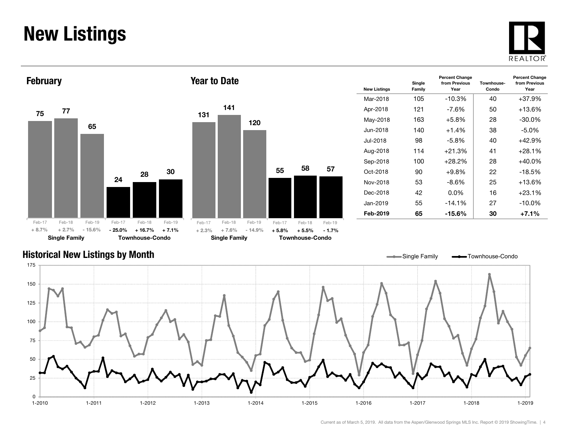#### New Listings







| <b>New Listings</b> | Single<br>Family | <b>Percent Change</b><br>from Previous<br>Year | Townhouse-<br>Condo | <b>Percent Change</b><br>from Previous<br>Year |
|---------------------|------------------|------------------------------------------------|---------------------|------------------------------------------------|
| Mar-2018            | 105              | $-10.3%$                                       | 40                  | $+37.9%$                                       |
| Apr-2018            | 121              | $-7.6\%$                                       | 50                  | $+13.6%$                                       |
| May-2018            | 163              | $+5.8%$                                        | 28                  | $-30.0\%$                                      |
| Jun-2018            | 140              | $+1.4%$                                        | 38                  | -5.0%                                          |
| Jul-2018            | 98               | $-5.8\%$                                       | 40                  | $+42.9%$                                       |
| Aug-2018            | 114              | $+21.3%$                                       | 41                  | $+28.1%$                                       |
| Sep-2018            | 100              | $+28.2\%$                                      | 28                  | $+40.0%$                                       |
| Oct-2018            | 90               | $+9.8%$                                        | 22                  | $-18.5\%$                                      |
| Nov-2018            | 53               | -8.6%                                          | 25                  | $+13.6%$                                       |
| Dec-2018            | 42               | $0.0\%$                                        | 16                  | $+23.1%$                                       |
| Jan-2019.           | 55               | $-14.1%$                                       | 27                  | $-10.0\%$                                      |
| Feb-2019            | 65               | $-15.6\%$                                      | 30                  | $+7.1\%$                                       |

#### Historical New Listings by Month

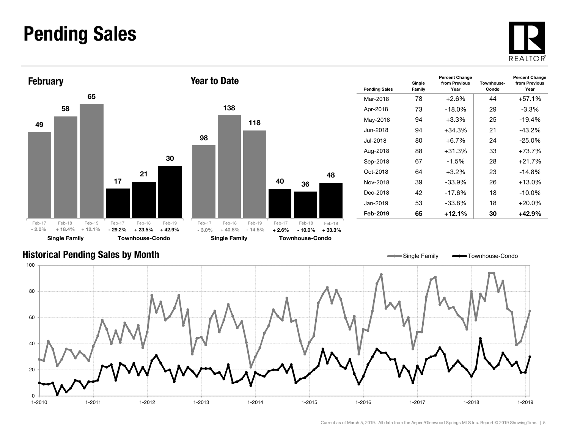#### Pending Sales







| <b>Pending Sales</b> | Single<br>Family | <b>Percent Change</b><br>from Previous<br>Year | Townhouse-<br>Condo | <b>Percent Change</b><br>from Previous<br>Year |
|----------------------|------------------|------------------------------------------------|---------------------|------------------------------------------------|
| Mar-2018             | 78               | $+2.6\%$                                       | 44                  | $+57.1%$                                       |
| Apr-2018             | 73               | $-18.0\%$                                      | 29                  | -3.3%                                          |
| May-2018             | 94               | $+3.3%$                                        | 25                  | $-19.4%$                                       |
| Jun-2018.            | 94               | $+34.3%$                                       | 21                  | $-43.2%$                                       |
| Jul-2018             | 80               | $+6.7\%$                                       | 24                  | $-25.0\%$                                      |
| Aug-2018             | 88               | $+31.3%$                                       | 33                  | +73.7%                                         |
| Sep-2018             | 67               | $-1.5%$                                        | 28                  | $+21.7%$                                       |
| Oct-2018             | 64               | $+3.2\%$                                       | 23                  | $-14.8%$                                       |
| Nov-2018             | 39               | $-33.9%$                                       | 26                  | +13.0%                                         |
| Dec-2018             | 42               | -17.6%                                         | 18                  | $-10.0\%$                                      |
| Jan-2019.            | 53               | $-33.8%$                                       | 18                  | $+20.0\%$                                      |
| Feb-2019             | 65               | $+12.1%$                                       | 30                  | +42.9%                                         |

Single Family **-** Townhouse-Condo

#### Historical Pending Sales by Month

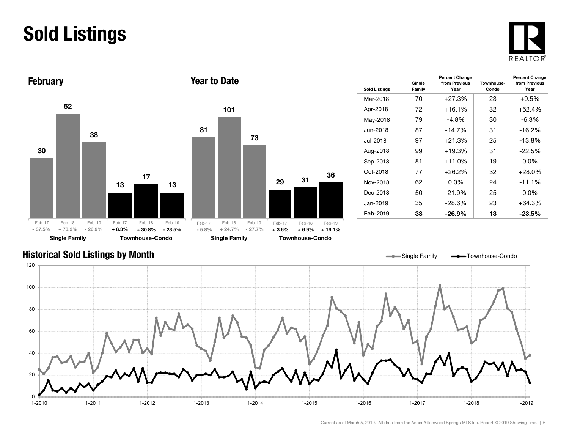### Sold Listings





| <b>Sold Listings</b> | Single<br>Family | <b>Percent Change</b><br>from Previous<br>Year | Townhouse-<br>Condo | <b>Percent Change</b><br>from Previous<br>Year |
|----------------------|------------------|------------------------------------------------|---------------------|------------------------------------------------|
| Mar-2018             | 70               | $+27.3%$                                       | 23                  | $+9.5%$                                        |
| Apr-2018             | 72               | $+16.1%$                                       | 32                  | $+52.4%$                                       |
| May-2018             | 79               | -4.8%                                          | 30                  | $-6.3%$                                        |
| Jun-2018.            | 87               | $-14.7\%$                                      | 31                  | $-16.2%$                                       |
| Jul-2018             | 97               | $+21.3%$                                       | 25                  | $-13.8%$                                       |
| Aug-2018             | 99               | $+19.3%$                                       | 31                  | $-22.5%$                                       |
| Sep-2018             | 81               | $+11.0\%$                                      | 19                  | $0.0\%$                                        |
| Oct-2018             | 77               | $+26.2%$                                       | 32                  | $+28.0%$                                       |
| Nov-2018             | 62               | $0.0\%$                                        | 24                  | $-11.1%$                                       |
| Dec-2018             | 50               | $-21.9%$                                       | 25                  | $0.0\%$                                        |
| Jan-2019             | 35               | $-28.6%$                                       | 23                  | +64.3%                                         |
| Feb-2019             | 38               | -26.9%                                         | 13                  | -23.5%                                         |

#### Historical Sold Listings by Month



36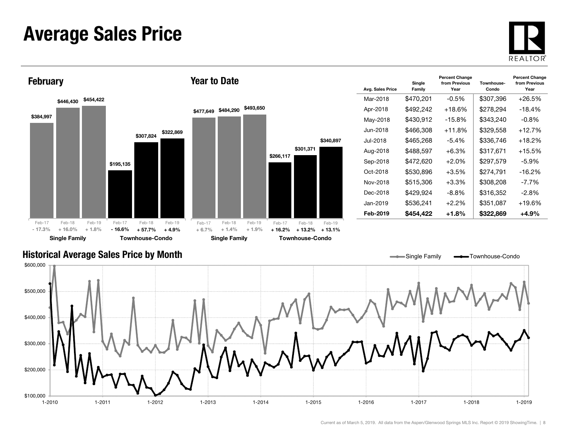#### Average Sales Price





| Avg. Sales Price | Single<br>Family | <b>Percent Change</b><br>from Previous<br>Year | Townhouse-<br>Condo | <b>Percent Change</b><br>from Previous<br>Year |
|------------------|------------------|------------------------------------------------|---------------------|------------------------------------------------|
| Mar-2018         | \$470,201        | $-0.5\%$                                       | \$307,396           | $+26.5%$                                       |
| Apr-2018         | \$492,242        | $+18.6%$                                       | \$278,294           | $-18.4%$                                       |
| May-2018         | \$430,912        | $-15.8\%$                                      | \$343,240           | -0.8%                                          |
| Jun-2018.        | \$466,308        | $+11.8%$                                       | \$329,558           | $+12.7%$                                       |
| .Jul-2018        | \$465,268        | -5.4%                                          | \$336,746           | $+18.2\%$                                      |
| Aug-2018         | \$488,597        | $+6.3\%$                                       | \$317,671           | $+15.5%$                                       |
| Sep-2018         | \$472.620        | $+2.0\%$                                       | \$297,579           | -5.9%                                          |
| Oct-2018         | \$530,896        | $+3.5%$                                        | \$274,791           | $-16.2%$                                       |
| Nov-2018         | \$515,306        | +3.3%                                          | \$308,208           | -7.7%                                          |
| Dec-2018         | \$429,924        | -8.8%                                          | \$316.352           | $-2.8\%$                                       |
| Jan-2019         | \$536.241        | $+2.2%$                                        | \$351,087           | $+19.6%$                                       |
| Feb-2019         | \$454,422        | +1.8%                                          | \$322,869           | +4.9%                                          |

Single Family **-**Townhouse-Condo

#### Historical Average Sales Price by Month

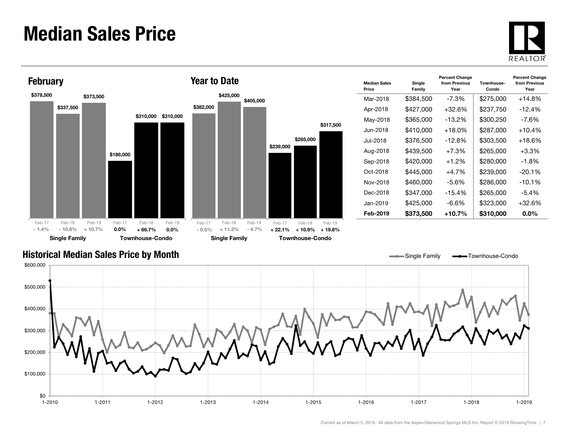#### Median Sales Price





| <b>Median Sales</b><br>Price | Single<br>Family | <b>Percent Change</b><br>from Previous<br>Year | Townhouse-<br>Condo | <b>Percent Change</b><br>from Previous<br>Year |
|------------------------------|------------------|------------------------------------------------|---------------------|------------------------------------------------|
| Mar-2018                     | \$384,500        | -7.3%                                          | \$275,000           | $+14.8%$                                       |
| Apr-2018                     | \$427,000        | +32.6%                                         | \$237,750           | $-12.4%$                                       |
| May-2018                     | \$365,000        | -13.2%                                         | \$300,250           | -7.6%                                          |
| Jun-2018                     | \$410,000        | $+18.0\%$                                      | \$287,000           | $+10.4%$                                       |
| Jul-2018                     | \$376,500        | $-12.8\%$                                      | \$303,500           | $+18.6\%$                                      |
| Aug-2018                     | \$439,500        | $+7.3%$                                        | \$265,000           | $+3.3\%$                                       |
| Sep-2018                     | \$420,000        | $+1.2%$                                        | \$280,000           | $-1.8%$                                        |
| Oct-2018                     | \$445,000        | $+4.7%$                                        | \$239,000           | $-20.1%$                                       |
| Nov-2018                     | \$460,000        | -5.6%                                          | \$286,000           | $-10.1\%$                                      |
| Dec-2018                     | \$347,000        | -15.4%                                         | \$265,000           | $-5.4\%$                                       |
| Jan-2019                     | \$425,000        | -6.6%                                          | \$323,000           | $+32.6%$                                       |
| Feb-2019                     | \$373,500        | +10.7%                                         | \$310,000           | $0.0\%$                                        |

Single Family **-** Townhouse-Condo

#### Historical Median Sales Price by Month

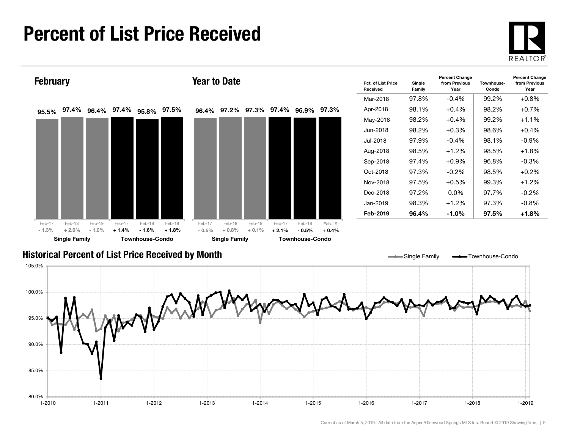### Percent of List Price Received





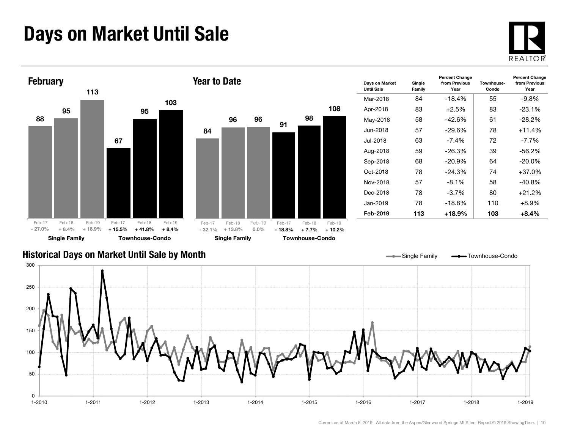### Days on Market Until Sale

 $1 - 2010$ 



1-2019



1-2010 1-2011 1-2012 1-2013 1-2014 1-2015 1-2016 1-2017 1-2018 1-2019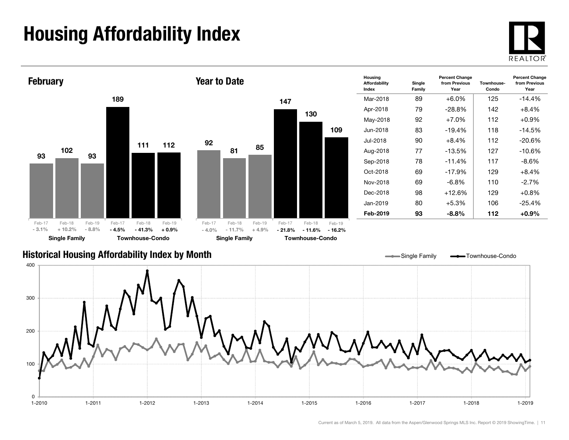## Housing Affordability Index





| Housing<br>Affordability<br>Index | Single<br>Family | <b>Percent Change</b><br>from Previous<br>Year | Townhouse-<br>Condo | <b>Percent Change</b><br>from Previous<br>Year |
|-----------------------------------|------------------|------------------------------------------------|---------------------|------------------------------------------------|
| Mar-2018                          | 89               | +6.0%                                          | 125                 | $-14.4%$                                       |
| Apr-2018                          | 79               | $-28.8%$                                       | 142                 | $+8.4\%$                                       |
| May-2018                          | 92               | +7.0%                                          | 112                 | $+0.9\%$                                       |
| Jun-2018                          | 83               | $-19.4%$                                       | 118                 | $-14.5%$                                       |
| Jul-2018                          | 90               | $+8.4%$                                        | 112                 | $-20.6%$                                       |
| Aug-2018                          | 77               | $-13.5%$                                       | 127                 | $-10.6%$                                       |
| Sep-2018                          | 78               | $-11.4%$                                       | 117                 | $-8.6\%$                                       |
| Oct-2018                          | 69               | $-17.9%$                                       | 129                 | $+8.4%$                                        |
| Nov-2018                          | 69               | $-6.8\%$                                       | 110                 | $-2.7%$                                        |
| Dec-2018                          | 98               | $+12.6%$                                       | 129                 | $+0.8%$                                        |
| Jan-2019                          | 80               | $+5.3%$                                        | 106                 | $-25.4%$                                       |
| Feb-2019                          | 93               | $-8.8\%$                                       | 112                 | $+0.9%$                                        |

Single Family **-**Townhouse-Condo

#### Historical Housing Affordability Index by Mont h

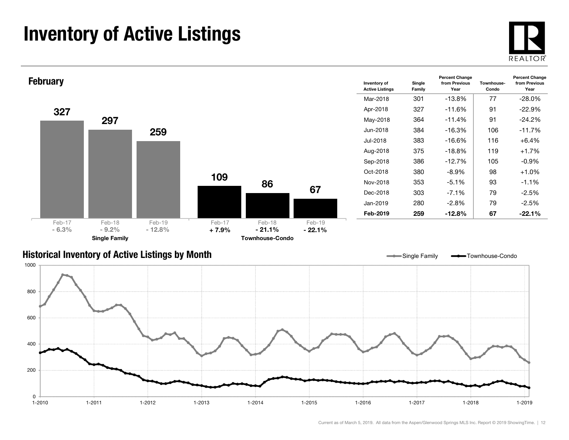### Inventory of Active Listings





#### Historical Inventory of Active Listings by Month



Single Family **-** Townhouse-Condo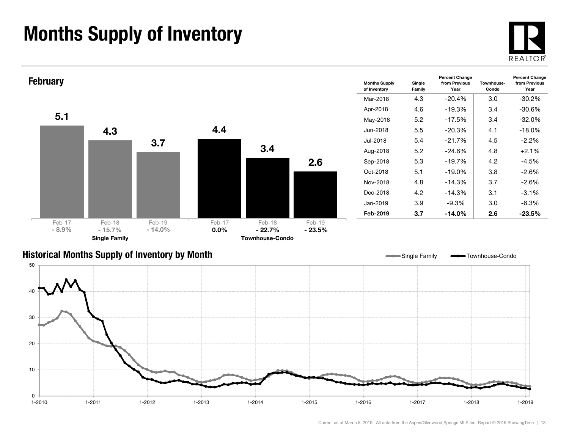### Months Supply of Inventory

0 $1 - 2010$ 

10

20



1-2019



1-2010 1-2011 1-2012 1-2013 1-2014 1-2015 1-2016 1-2017 1-2018 1-2019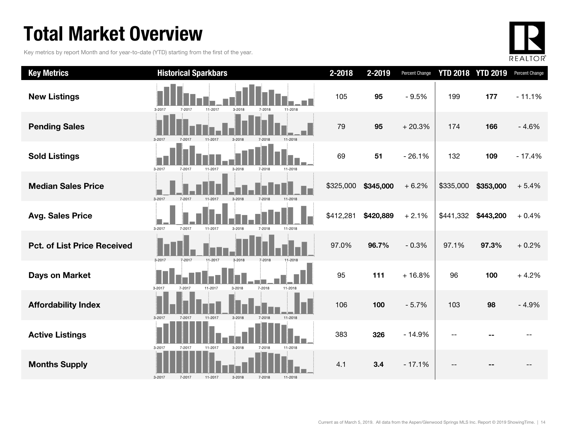### Total Market Overview

Key metrics by report Month and for year-to-date (YTD) starting from the first of the year.



| <b>Key Metrics</b>                 | <b>Historical Sparkbars</b>                                    | 2-2018    | 2-2019    | Percent Change |           | <b>YTD 2018 YTD 2019</b> | Percent Change |
|------------------------------------|----------------------------------------------------------------|-----------|-----------|----------------|-----------|--------------------------|----------------|
| <b>New Listings</b>                | 11-2017<br>3-2018<br>11-2018<br>3-2017<br>7-2017<br>7-2018     | 105       | 95        | $-9.5%$        | 199       | 177                      | $-11.1%$       |
| <b>Pending Sales</b>               | $3 - 2017$<br>$3 - 2018$<br>11-2017<br>11-2018                 | 79        | 95        | $+20.3%$       | 174       | 166                      | $-4.6%$        |
| <b>Sold Listings</b>               | $3 - 2017$<br>7-2017<br>3-2018<br>11-2017<br>7-2018<br>11-2018 | 69        | 51        | $-26.1%$       | 132       | 109                      | $-17.4%$       |
| <b>Median Sales Price</b>          | 3-2017<br>7-2017<br>11-2017<br>3-2018<br>7-2018<br>11-2018     | \$325,000 | \$345,000 | $+6.2%$        | \$335,000 | \$353,000                | $+5.4%$        |
| <b>Avg. Sales Price</b>            | 3-2017<br>7-2017<br>11-2017<br>3-2018<br>7-2018<br>11-2018     | \$412,281 | \$420,889 | $+2.1%$        | \$441,332 | \$443,200                | $+0.4%$        |
| <b>Pct. of List Price Received</b> | 3-2017<br>7-2017<br>11-2017<br>3-2018<br>7-2018                | 97.0%     | 96.7%     | $-0.3%$        | 97.1%     | 97.3%                    | $+0.2%$        |
| <b>Days on Market</b>              | 7-2018<br>$3 - 2017$<br>3-2018<br>11-2018<br>7-2017<br>11-2017 | 95        | 111       | $+16.8%$       | 96        | 100                      | $+4.2%$        |
| <b>Affordability Index</b>         | 3-2017<br>11-2017<br>3-2018<br>7-2018<br>11-2018<br>7-2017     | 106       | 100       | $-5.7%$        | 103       | 98                       | $-4.9%$        |
| <b>Active Listings</b>             | 3-2017<br>3-2018<br>11-2018<br>7-2017<br>11-2017<br>7-2018     | 383       | 326       | $-14.9%$       |           |                          |                |
| <b>Months Supply</b>               | $3 - 2017$<br>3-2018<br>7-2017<br>11-2017<br>7-2018<br>11-2018 | 4.1       | 3.4       | $-17.1%$       |           |                          |                |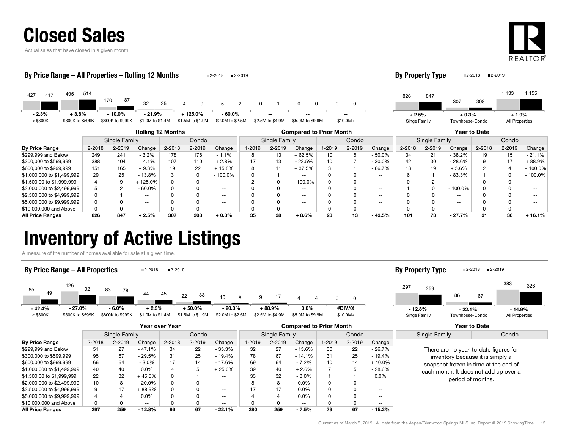

Actual sales that have closed in a given month.



| By Price Range - All Properties - Rolling 12 Months  |                                                                            |                              |                              |              |                                | $-2 - 2018$                   | ■2-2019 |                  |                          |        |           |               | <b>By Property Type</b> |               |                            | ■2-2019<br>$2-2018$ |                           |           |
|------------------------------------------------------|----------------------------------------------------------------------------|------------------------------|------------------------------|--------------|--------------------------------|-------------------------------|---------|------------------|--------------------------|--------|-----------|---------------|-------------------------|---------------|----------------------------|---------------------|---------------------------|-----------|
| 495<br>427<br>417                                    | 514                                                                        | 187<br>170                   | 32                           | 25           | 9                              | 5                             | 2<br>0  |                  | 0                        | 0<br>0 | 0         |               | 826                     | 847           | 307                        | 308                 | 1,133                     | 1,155     |
| $+3.8%$<br>$-2.3%$<br>$<$ \$300K<br>\$300K to \$599K |                                                                            | $+10.0%$<br>\$600K to \$999K | $-21.9%$<br>\$1.0M to \$1.4M |              | $+125.0\%$<br>\$1.5M to \$1.9M | $-60.0\%$<br>\$2.0M to \$2.5M |         | \$2.5M to \$4.9M | \$5.0M to \$9.9M         |        | $$10.0M+$ |               | $+2.5%$<br>Singe Family |               | $+0.3%$<br>Townhouse-Condo |                     | $+1.9%$<br>All Properties |           |
|                                                      | <b>Rolling 12 Months</b><br><b>Compared to Prior Month</b><br>Year to Date |                              |                              |              |                                |                               |         |                  |                          |        |           |               |                         |               |                            |                     |                           |           |
|                                                      |                                                                            | Single Family                |                              |              | Condo                          |                               |         | Single Family    |                          |        | Condo     |               |                         | Single Family |                            |                     | Condo                     |           |
| <b>By Price Range</b>                                | 2-2018                                                                     | 2-2019                       | Change                       | 2-2018       | 2-2019                         | Change                        | 1-2019  | 2-2019           | Change                   | 1-2019 | 2-2019    | Change        | 2-2018                  | 2-2019        | Change                     | 2-2018              | 2-2019                    | Change    |
| \$299,999 and Below                                  | 249                                                                        | 241                          | $-3.2%$                      | 178          | 176                            | $-1.1%$                       | 8       | 13               | $+62.5%$                 | 10     | 5         | $-50.0%$      | 34                      | 21            | $-38.2%$                   | 19                  | 15                        | $-21.1%$  |
| \$300,000 to \$599,999                               | 388                                                                        | 404                          | $+4.1%$                      | 107          | 110                            | $+2.8%$                       |         | 13               | $-23.5%$                 | 10     |           | $-30.0%$      | 42                      | 30            | $-28.6%$                   | 9                   | 17                        | $+88.9%$  |
| \$600,000 to \$999,999                               | 151                                                                        | 165                          | $+9.3%$                      | 19           | 22                             | $+15.8%$                      |         | 11               | $+37.5%$                 |        |           | $-66.7%$      | 18                      | 19            | $+5.6%$                    | 2                   |                           | +100.0%   |
| \$1,000,000 to \$1,499,999                           | 29                                                                         | 25                           | $-13.8%$                     | 3            | O                              | $-100.0\%$                    |         |                  | $\qquad \qquad -$        |        |           | $\sim$ $\sim$ |                         |               | - 83.3%                    |                     |                           | $-100.0%$ |
| \$1,500,00 to \$1,999,999                            | $\overline{4}$                                                             | 9                            | $+125.0%$                    | <sup>0</sup> |                                | $- -$                         |         | 0                | $-100.0\%$               |        |           | $\sim$ $\sim$ |                         | 2             | $- -$                      |                     |                           | $- -$     |
| \$2,000,000 to \$2,499,999                           | 5                                                                          | 2                            | $-60.0\%$                    | $\Omega$     |                                | $- -$                         |         | 0                | $- -$                    |        |           | $- -$         |                         | n             | $-100.0\%$                 |                     | 0                         | --        |
| \$2,500,000 to \$4,999,999                           |                                                                            |                              | $\sim$ $\sim$                |              |                                | $- -$                         |         |                  | $\overline{\phantom{a}}$ |        |           | $\sim$ $\sim$ |                         |               | $\qquad \qquad -$          |                     |                           | $- -$     |
| \$5,000,000 to \$9,999,999                           |                                                                            |                              | --                           |              |                                | $- -$                         |         |                  | $\qquad \qquad -$        |        |           | $\sim$ $\sim$ |                         |               | $- -$                      |                     |                           |           |

#### Inventory of Active Listings

A measure of the number of homes available for sale at a given time.



\$10,000,000 and Above 0 0 -- 0 0 -- 0 0 -- 0 0 -- 0 0 -- 0 0 -- All Price Ranges 826 847 + 2.5% 307 308 + 0.3% 35 38 + 8.6% 23 13 - 43.5% 101 73 - 27.7% 31 36 + 16.1%

|                            | Year over Year |            |           |            |        |                          | <b>Compared to Prior Month</b> |        |          |        |        |               | Year to Date                                                                                                                                                                     |       |
|----------------------------|----------------|------------|-----------|------------|--------|--------------------------|--------------------------------|--------|----------|--------|--------|---------------|----------------------------------------------------------------------------------------------------------------------------------------------------------------------------------|-------|
|                            | Single Family  |            |           | Condo      |        |                          | Single Family                  |        |          | Condo  |        |               | Single Family                                                                                                                                                                    | Condo |
| <b>By Price Range</b>      | 2-2018         | $2 - 2019$ | Change    | $2 - 2018$ | 2-2019 | Change                   | 1-2019                         | 2-2019 | Change   | 1-2019 | 2-2019 | Change        |                                                                                                                                                                                  |       |
| \$299.999 and Below        | 51             | 27         | - 47.1%   | 34         | 22     | $-35.3%$                 | 32                             | 27     | $-15.6%$ | 30     | 22     | - 26.7%       | There are no year-to-date figures for<br>inventory because it is simply a<br>snapshot frozen in time at the end of<br>each month. It does not add up over a<br>period of months. |       |
| \$300,000 to \$599,999     | 95             | 67         | $-29.5%$  | 31         | 25     | $-19.4%$                 | 78                             | 67     | $-14.1%$ | 31     | 25     | - 19.4%       |                                                                                                                                                                                  |       |
| \$600,000 to \$999,999     | 66             | 64         | $-3.0%$   | 17         | 14     | $-17.6%$                 | 69                             | 64     | $-7.2%$  | 10     | 14     | + 40.0%       |                                                                                                                                                                                  |       |
| \$1,000,000 to \$1,499,999 | 40             | 40         | $0.0\%$   | 4          |        | $+25.0%$                 | 39                             | 40     | $+2.6%$  |        |        | - 28.6%       |                                                                                                                                                                                  |       |
| \$1,500,00 to \$1,999,999  | 22             | 32         | - 45.5%   | 0          |        | $\overline{\phantom{a}}$ | 33                             | 32     | $-3.0%$  |        |        | $0.0\%$       |                                                                                                                                                                                  |       |
| \$2,000,000 to \$2,499,999 | 10             | 8          | $-20.0\%$ | 0          |        | $\overline{\phantom{a}}$ |                                | o      | 0.0%     | 0      |        | $\sim$ $\sim$ |                                                                                                                                                                                  |       |
| \$2,500,000 to \$4,999,999 | 9              | 17         | + 88.9%   | 0          |        | $\overline{\phantom{a}}$ |                                | 17     | 0.0%     | 0      |        | $\sim$ $\sim$ |                                                                                                                                                                                  |       |
| \$5,000,000 to \$9,999,999 |                |            | $0.0\%$   | 0          |        | $- -$                    |                                |        | 0.0%     | 0      |        | $- -$         |                                                                                                                                                                                  |       |
| \$10,000,000 and Above     | 0              |            | $- -$     |            |        | $- -$                    |                                |        | $- -$    |        |        | $- -$         |                                                                                                                                                                                  |       |
| <b>All Price Ranges</b>    | 297            | 259        | $-12.8%$  | 86         | 67     | $-22.1%$                 | 280                            | 259    | - 7.5%   | 79     | 67     | $-15.2\%$     |                                                                                                                                                                                  |       |